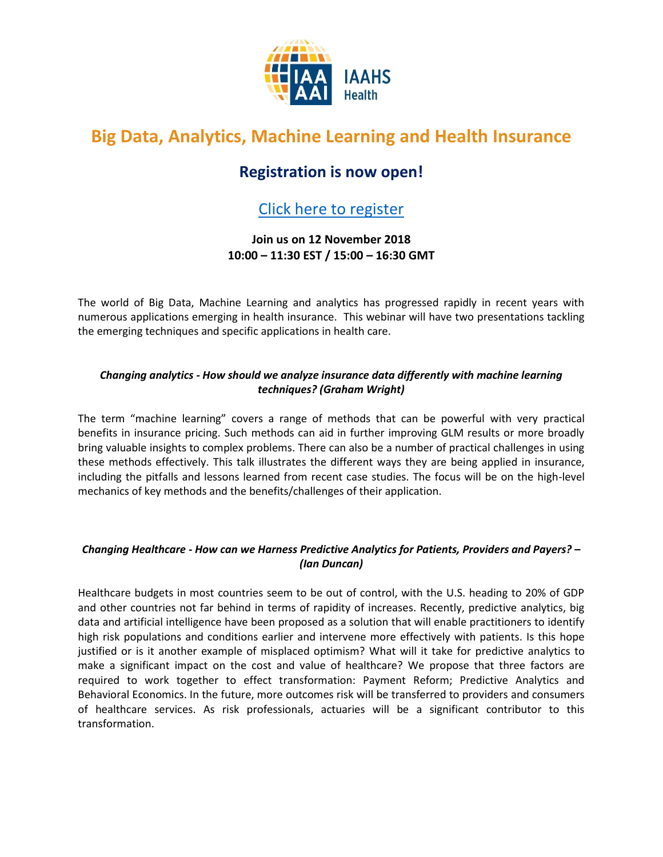

# **Big Data, Analytics, Machine Learning and Health Insurance**

## **Registration is now open!**

## [Click here to register](https://iaaevents.webex.com/iaaevents/onstage/g.php?MTID=ea70534b2256b4fc66b4ce691b071fbd2)

## **Join us on 12 November 2018 10:00 – 11:30 EST / 15:00 – 16:30 GMT**

The world of Big Data, Machine Learning and analytics has progressed rapidly in recent years with numerous applications emerging in health insurance. This webinar will have two presentations tackling the emerging techniques and specific applications in health care.

### *Changing analytics - How should we analyze insurance data differently with machine learning techniques? (Graham Wright)*

The term "machine learning" covers a range of methods that can be powerful with very practical benefits in insurance pricing. Such methods can aid in further improving GLM results or more broadly bring valuable insights to complex problems. There can also be a number of practical challenges in using these methods effectively. This talk illustrates the different ways they are being applied in insurance, including the pitfalls and lessons learned from recent case studies. The focus will be on the high-level mechanics of key methods and the benefits/challenges of their application.

### *Changing Healthcare - How can we Harness Predictive Analytics for Patients, Providers and Payers? – (Ian Duncan)*

Healthcare budgets in most countries seem to be out of control, with the U.S. heading to 20% of GDP and other countries not far behind in terms of rapidity of increases. Recently, predictive analytics, big data and artificial intelligence have been proposed as a solution that will enable practitioners to identify high risk populations and conditions earlier and intervene more effectively with patients. Is this hope justified or is it another example of misplaced optimism? What will it take for predictive analytics to make a significant impact on the cost and value of healthcare? We propose that three factors are required to work together to effect transformation: Payment Reform; Predictive Analytics and Behavioral Economics. In the future, more outcomes risk will be transferred to providers and consumers of healthcare services. As risk professionals, actuaries will be a significant contributor to this transformation.